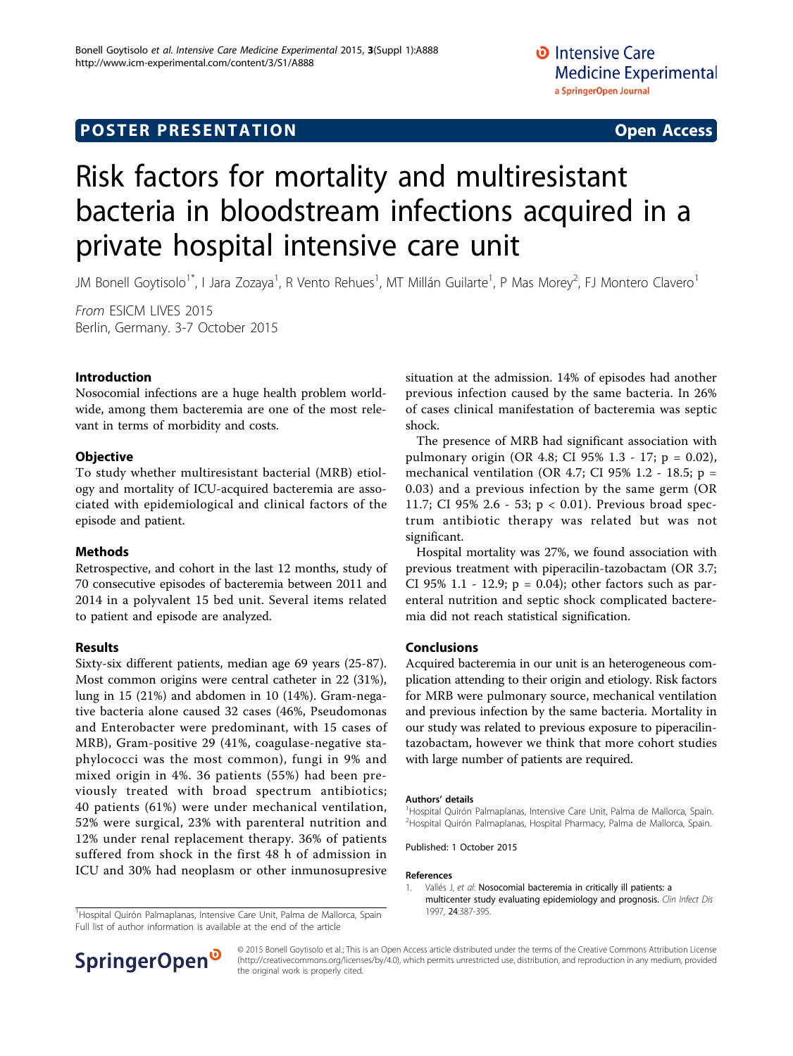# **POSTER PRESENTATION CONSUMING THE SERVICE SERVICE SERVICES**

# Risk factors for mortality and multiresistant bacteria in bloodstream infections acquired in a private hospital intensive care unit

JM Bonell Goytisolo<sup>1\*</sup>, I Jara Zozaya<sup>1</sup>, R Vento Rehues<sup>1</sup>, MT Millán Guilarte<sup>1</sup>, P Mas Morey<sup>2</sup>, FJ Montero Clavero<sup>1</sup>

From ESICM LIVES 2015 Berlin, Germany. 3-7 October 2015

### Introduction

Nosocomial infections are a huge health problem worldwide, among them bacteremia are one of the most relevant in terms of morbidity and costs.

### **Objective**

To study whether multiresistant bacterial (MRB) etiology and mortality of ICU-acquired bacteremia are associated with epidemiological and clinical factors of the episode and patient.

### Methods

Retrospective, and cohort in the last 12 months, study of 70 consecutive episodes of bacteremia between 2011 and 2014 in a polyvalent 15 bed unit. Several items related to patient and episode are analyzed.

### Results

Sixty-six different patients, median age 69 years (25-87). Most common origins were central catheter in 22 (31%), lung in 15 (21%) and abdomen in 10 (14%). Gram-negative bacteria alone caused 32 cases (46%, Pseudomonas and Enterobacter were predominant, with 15 cases of MRB), Gram-positive 29 (41%, coagulase-negative staphylococci was the most common), fungi in 9% and mixed origin in 4%. 36 patients (55%) had been previously treated with broad spectrum antibiotics; 40 patients (61%) were under mechanical ventilation, 52% were surgical, 23% with parenteral nutrition and 12% under renal replacement therapy. 36% of patients suffered from shock in the first 48 h of admission in ICU and 30% had neoplasm or other inmunosupresive

1Hospital Quirón Palmaplanas, Intensive Care Unit, Palma de Mallorca, Spain 1997, 24:387-395. Full list of author information is available at the end of the article



The presence of MRB had significant association with pulmonary origin (OR 4.8; CI 95% 1.3 - 17; p = 0.02), mechanical ventilation (OR 4.7; CI 95% 1.2 - 18.5;  $p =$ 0.03) and a previous infection by the same germ (OR 11.7; CI 95% 2.6 - 53; p < 0.01). Previous broad spectrum antibiotic therapy was related but was not significant.

Hospital mortality was 27%, we found association with previous treatment with piperacilin-tazobactam (OR 3.7; CI 95% 1.1 - 12.9;  $p = 0.04$ ); other factors such as parenteral nutrition and septic shock complicated bacteremia did not reach statistical signification.

### Conclusions

Acquired bacteremia in our unit is an heterogeneous complication attending to their origin and etiology. Risk factors for MRB were pulmonary source, mechanical ventilation and previous infection by the same bacteria. Mortality in our study was related to previous exposure to piperacilintazobactam, however we think that more cohort studies with large number of patients are required.

#### Authors' details <sup>1</sup>

<sup>1</sup>Hospital Quirón Palmaplanas, Intensive Care Unit, Palma de Mallorca, Spain. <sup>2</sup>Hospital Quirón Palmaplanas, Hospital Pharmacy, Palma de Mallorca, Spain.

Published: 1 October 2015

#### References

1. Vallés J, et al: [Nosocomial bacteremia in critically ill patients: a](http://www.ncbi.nlm.nih.gov/pubmed/9114190?dopt=Abstract) [multicenter study evaluating epidemiology and prognosis.](http://www.ncbi.nlm.nih.gov/pubmed/9114190?dopt=Abstract) Clin Infect Dis



© 2015 Bonell Goytisolo et al.; This is an Open Access article distributed under the terms of the Creative Commons Attribution License [\(http://creativecommons.org/licenses/by/4.0](http://creativecommons.org/licenses/by/4.0)), which permits unrestricted use, distribution, and reproduction in any medium, provided the original work is properly cited.